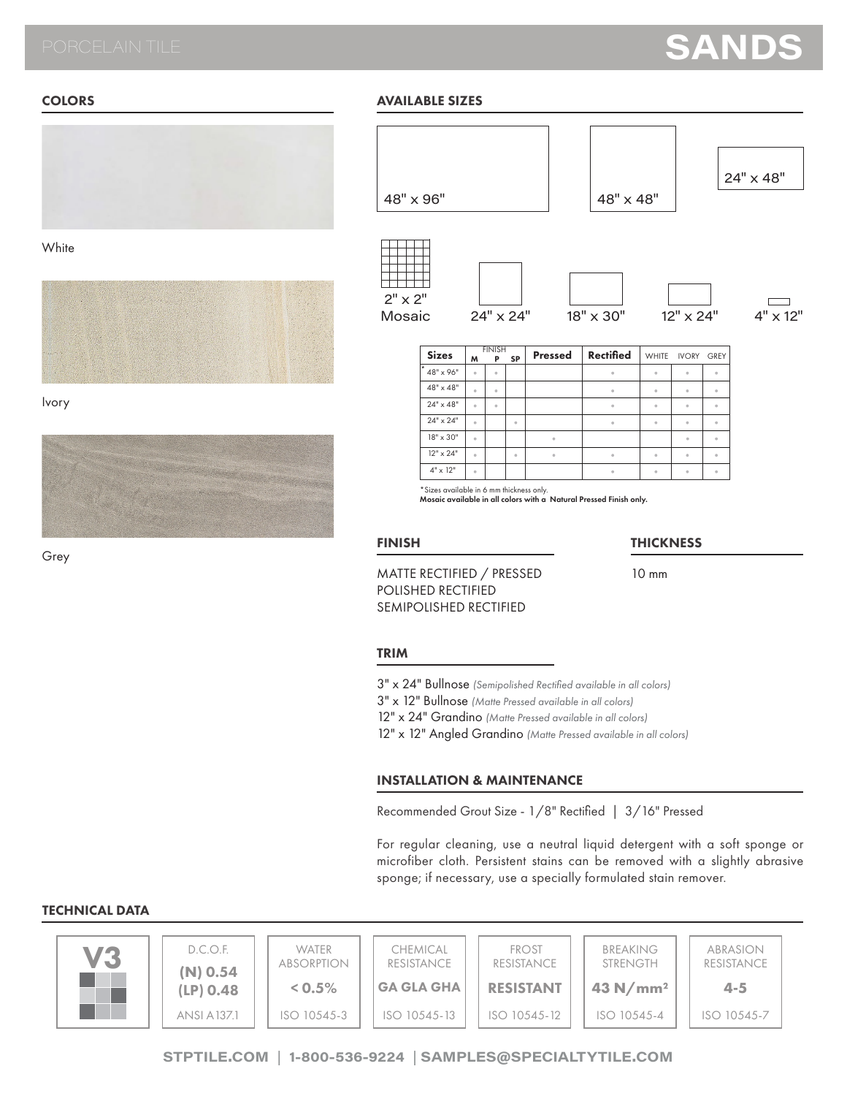# **SANDS**

### **COLORS**



**White** 



Ivory



Grey

## AVAILABLE SIZES



| ----              | M        | Р        | SР.     | .                    | 1155111154           |          | VYIIIIL IVUNI UNLI   |          |
|-------------------|----------|----------|---------|----------------------|----------------------|----------|----------------------|----------|
| $1*$<br>48" x 96" | $\circ$  | $\alpha$ |         |                      | $\circ$              | $\alpha$ | $\theta$             |          |
| $48" \times 48"$  | $\alpha$ | $\circ$  |         |                      | $\ddot{\phantom{a}}$ | $\circ$  | $\circ$              | ٠        |
| $24" \times 48"$  | $\circ$  | $\alpha$ |         |                      | $\ddot{\phantom{a}}$ | ó        | $\ddot{\phantom{a}}$ | $\alpha$ |
| $24" \times 24"$  | $\alpha$ |          | $\circ$ |                      | $\circ$              | $\alpha$ | $\circ$              | $\alpha$ |
| 18" x 30"         | $\alpha$ |          |         | $\theta$             |                      |          | $\sim$               | $\alpha$ |
| $12" \times 24"$  | $\alpha$ |          | a.      | $\ddot{\phantom{a}}$ | $\circ$              | ó        | $\ddot{\phantom{a}}$ | $\alpha$ |
| $4" \times 12"$   | $\circ$  |          |         |                      | ٠                    | $\circ$  | $\ddot{\phantom{a}}$ | $\alpha$ |

\*Sizes available in 6 mm thickness only. Mosaic available in all colors with a Natural Pressed Finish only.

#### FINISH

#### **THICKNESS**

10 mm

## MATTE RECTIFIED / PRESSED POLISHED RECTIFIED SEMIPOLISHED RECTIFIED

#### **TRIM**

3" x 24" Bullnose *(Semipolished Rectified available in all colors)*

3" x 12" Bullnose *(Matte Pressed available in all colors)*

12" x 24" Grandino *(Matte Pressed available in all colors)*

12" x 12" Angled Grandino *(Matte Pressed available in all colors)*

## INSTALLATION & MAINTENANCE

Recommended Grout Size - 1/8" Rectified | 3/16" Pressed

For regular cleaning, use a neutral liquid detergent with a soft sponge or microfiber cloth. Persistent stains can be removed with a slightly abrasive sponge; if necessary, use a specially formulated stain remover.

### TECHNICAL DATA